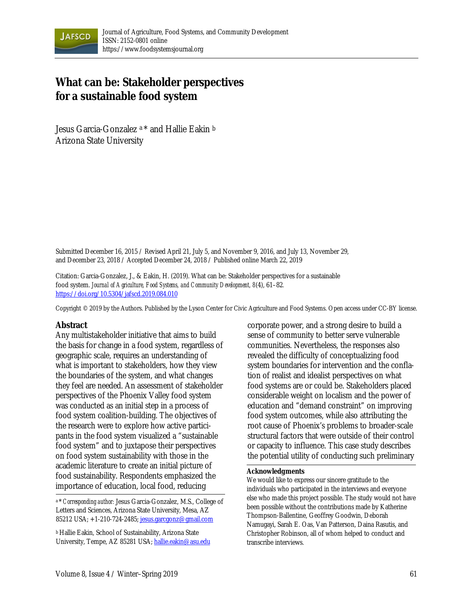

# **What can be: Stakeholder perspectives for a sustainable food system**

Jesus Garcia-Gonzalez a \* and Hallie Eakin b Arizona State University

Submitted December 16, 2015 / Revised April 21, July 5, and November 9, 2016, and July 13, November 29, and December 23, 2018 / Accepted December 24, 2018 / Published online March 22, 2019

Citation: Garcia-Gonzalez, J., & Eakin, H. (2019). What can be: Stakeholder perspectives for a sustainable food system. *Journal of Agriculture, Food Systems, and Community Development, 8*(4), 61–82*.* https://doi.org/10.5304/jafscd.2019.084.010

Copyright © 2019 by the Authors. Published by the Lyson Center for Civic Agriculture and Food Systems. Open access under CC-BY license.

#### **Abstract**

Any multistakeholder initiative that aims to build the basis for change in a food system, regardless of geographic scale, requires an understanding of what is important to stakeholders, how they view the boundaries of the system, and what changes they feel are needed. An assessment of stakeholder perspectives of the Phoenix Valley food system was conducted as an initial step in a process of food system coalition-building. The objectives of the research were to explore how active participants in the food system visualized a "sustainable food system" and to juxtapose their perspectives on food system sustainability with those in the academic literature to create an initial picture of food sustainability. Respondents emphasized the importance of education, local food, reducing

a \* *Corresponding author:* Jesus Garcia-Gonzalez, M.S., College of Letters and Sciences, Arizona State University, Mesa, AZ 85212 USA; +1-210-724-2485; jesus.garcgonz@gmail.com

b Hallie Eakin, School of Sustainability, Arizona State University, Tempe, AZ 85281 USA; hallie.eakin@asu.edu corporate power, and a strong desire to build a sense of community to better serve vulnerable communities. Nevertheless, the responses also revealed the difficulty of conceptualizing food system boundaries for intervention and the conflation of realist and idealist perspectives on what food systems are or could be. Stakeholders placed considerable weight on localism and the power of education and "demand constraint" on improving food system outcomes, while also attributing the root cause of Phoenix's problems to broader-scale structural factors that were outside of their control or capacity to influence. This case study describes the potential utility of conducting such preliminary

#### **Acknowledgments**

We would like to express our sincere gratitude to the individuals who participated in the interviews and everyone else who made this project possible. The study would not have been possible without the contributions made by Katherine Thompson-Ballentine, Geoffrey Goodwin, Deborah Namugayi, Sarah E. Oas, Van Patterson, Daina Rasutis, and Christopher Robinson, all of whom helped to conduct and transcribe interviews.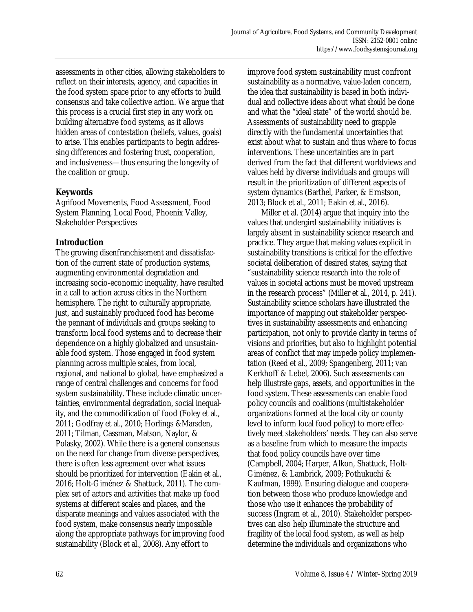assessments in other cities, allowing stakeholders to reflect on their interests, agency, and capacities in the food system space prior to any efforts to build consensus and take collective action. We argue that this process is a crucial first step in any work on building alternative food systems, as it allows hidden areas of contestation (beliefs, values, goals) to arise. This enables participants to begin addressing differences and fostering trust, cooperation, and inclusiveness—thus ensuring the longevity of the coalition or group.

# **Keywords**

Agrifood Movements, Food Assessment, Food System Planning, Local Food, Phoenix Valley, Stakeholder Perspectives

# **Introduction**

The growing disenfranchisement and dissatisfaction of the current state of production systems, augmenting environmental degradation and increasing socio-economic inequality, have resulted in a call to action across cities in the Northern hemisphere. The right to culturally appropriate, just, and sustainably produced food has become the pennant of individuals and groups seeking to transform local food systems and to decrease their dependence on a highly globalized and unsustainable food system. Those engaged in food system planning across multiple scales, from local, regional, and national to global, have emphasized a range of central challenges and concerns for food system sustainability. These include climatic uncertainties, environmental degradation, social inequality, and the commodification of food (Foley et al., 2011; Godfray et al., 2010; Horlings &Marsden, 2011; Tilman, Cassman, Matson, Naylor, & Polasky, 2002). While there is a general consensus on the need for change from diverse perspectives, there is often less agreement over what issues should be prioritized for intervention (Eakin et al., 2016; Holt-Giménez & Shattuck, 2011). The complex set of actors and activities that make up food systems at different scales and places, and the disparate meanings and values associated with the food system, make consensus nearly impossible along the appropriate pathways for improving food sustainability (Block et al., 2008). Any effort to

improve food system sustainability must confront sustainability as a normative, value-laden concern, the idea that sustainability is based in both individual and collective ideas about what *should* be done and what the "ideal state" of the world should be. Assessments of sustainability need to grapple directly with the fundamental uncertainties that exist about what to sustain and thus where to focus interventions. These uncertainties are in part derived from the fact that different worldviews and values held by diverse individuals and groups will result in the prioritization of different aspects of system dynamics (Barthel, Parker, & Ernstson, 2013; Block et al., 2011; Eakin et al., 2016).

 Miller et al. (2014) argue that inquiry into the values that undergird sustainability initiatives is largely absent in sustainability science research and practice. They argue that making values explicit in sustainability transitions is critical for the effective societal deliberation of desired states, saying that "sustainability science research into the role of values in societal actions must be moved upstream in the research process" (Miller et al., 2014, p. 241). Sustainability science scholars have illustrated the importance of mapping out stakeholder perspectives in sustainability assessments and enhancing participation, not only to provide clarity in terms of visions and priorities, but also to highlight potential areas of conflict that may impede policy implementation (Reed et al., 2009; Spangenberg, 2011; van Kerkhoff & Lebel, 2006). Such assessments can help illustrate gaps, assets, and opportunities in the food system. These assessments can enable food policy councils and coalitions (multistakeholder organizations formed at the local city or county level to inform local food policy) to more effectively meet stakeholders' needs. They can also serve as a baseline from which to measure the impacts that food policy councils have over time (Campbell, 2004; Harper, Alkon, Shattuck, Holt-Giménez, & Lambrick, 2009; Pothukuchi & Kaufman, 1999). Ensuring dialogue and cooperation between those who produce knowledge and those who use it enhances the probability of success (Ingram et al., 2010). Stakeholder perspectives can also help illuminate the structure and fragility of the local food system, as well as help determine the individuals and organizations who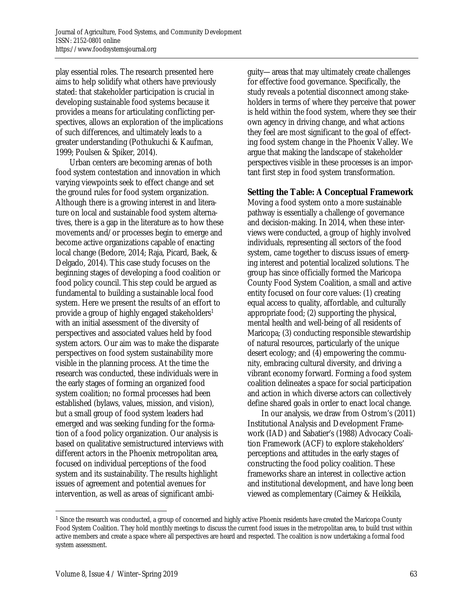play essential roles. The research presented here aims to help solidify what others have previously stated: that stakeholder participation is crucial in developing sustainable food systems because it provides a means for articulating conflicting perspectives, allows an exploration of the implications of such differences, and ultimately leads to a greater understanding (Pothukuchi & Kaufman, 1999; Poulsen & Spiker, 2014).

 Urban centers are becoming arenas of both food system contestation and innovation in which varying viewpoints seek to effect change and set the ground rules for food system organization. Although there is a growing interest in and literature on local and sustainable food system alternatives, there is a gap in the literature as to how these movements and/or processes begin to emerge and become active organizations capable of enacting local change (Bedore, 2014; Raja, Picard, Baek, & Delgado, 2014). This case study focuses on the beginning stages of developing a food coalition or food policy council. This step could be argued as fundamental to building a sustainable local food system. Here we present the results of an effort to provide a group of highly engaged stakeholders<sup>1</sup> with an initial assessment of the diversity of perspectives and associated values held by food system actors. Our aim was to make the disparate perspectives on food system sustainability more visible in the planning process. At the time the research was conducted, these individuals were in the early stages of forming an organized food system coalition; no formal processes had been established (bylaws, values, mission, and vision), but a small group of food system leaders had emerged and was seeking funding for the formation of a food policy organization. Our analysis is based on qualitative semistructured interviews with different actors in the Phoenix metropolitan area, focused on individual perceptions of the food system and its sustainability. The results highlight issues of agreement and potential avenues for intervention, as well as areas of significant ambiguity—areas that may ultimately create challenges for effective food governance. Specifically, the study reveals a potential disconnect among stakeholders in terms of where they perceive that power is held within the food system, where they see their own agency in driving change, and what actions they feel are most significant to the goal of effecting food system change in the Phoenix Valley. We argue that making the landscape of stakeholder perspectives visible in these processes is an important first step in food system transformation.

### **Setting the Table: A Conceptual Framework**

Moving a food system onto a more sustainable pathway is essentially a challenge of governance and decision-making. In 2014, when these interviews were conducted, a group of highly involved individuals, representing all sectors of the food system, came together to discuss issues of emerging interest and potential localized solutions. The group has since officially formed the Maricopa County Food System Coalition, a small and active entity focused on four core values: (1) creating equal access to quality, affordable, and culturally appropriate food; (2) supporting the physical, mental health and well-being of all residents of Maricopa; (3) conducting responsible stewardship of natural resources, particularly of the unique desert ecology; and (4) empowering the community, embracing cultural diversity, and driving a vibrant economy forward. Forming a food system coalition delineates a space for social participation and action in which diverse actors can collectively define shared goals in order to enact local change.

 In our analysis, we draw from Ostrom's (2011) Institutional Analysis and Development Framework (IAD) and Sabatier's (1988) Advocacy Coalition Framework (ACF) to explore stakeholders' perceptions and attitudes in the early stages of constructing the food policy coalition. These frameworks share an interest in collective action and institutional development, and have long been viewed as complementary (Cairney & Heikkila,

 $\overline{a}$ 

<sup>1</sup> Since the research was conducted, a group of concerned and highly active Phoenix residents have created the Maricopa County Food System Coalition. They hold monthly meetings to discuss the current food issues in the metropolitan area, to build trust within active members and create a space where all perspectives are heard and respected. The coalition is now undertaking a formal food system assessment.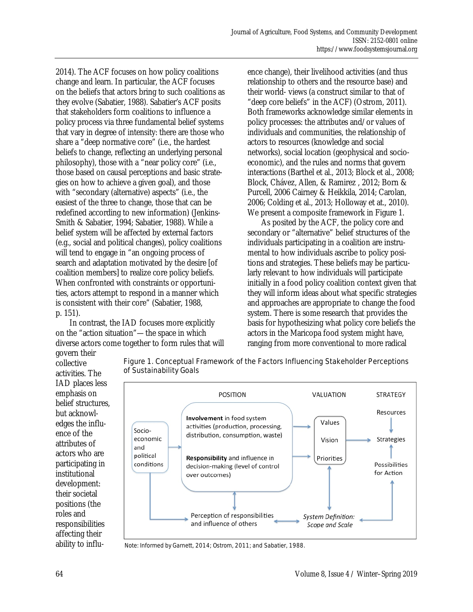2014). The ACF focuses on how policy coalitions change and learn. In particular, the ACF focuses on the beliefs that actors bring to such coalitions as they evolve (Sabatier, 1988). Sabatier's ACF posits that stakeholders form coalitions to influence a policy process via three fundamental belief systems that vary in degree of intensity: there are those who share a "deep normative core" (i.e., the hardest beliefs to change, reflecting an underlying personal philosophy), those with a "near policy core" (i.e., those based on causal perceptions and basic strategies on how to achieve a given goal), and those with "secondary (alternative) aspects" (i.e., the easiest of the three to change, those that can be redefined according to new information) (Jenkins-Smith & Sabatier, 1994; Sabatier, 1988). While a belief system will be affected by external factors (e.g., social and political changes), policy coalitions will tend to engage in "an ongoing process of search and adaptation motivated by the desire [of coalition members] to realize core policy beliefs. When confronted with constraints or opportunities, actors attempt to respond in a manner which is consistent with their core" (Sabatier, 1988, p. 151).

 In contrast, the IAD focuses more explicitly on the "action situation"—the space in which diverse actors come together to form rules that will govern their

ence change), their livelihood activities (and thus relationship to others and the resource base) and their world- views (a construct similar to that of "deep core beliefs" in the ACF) (Ostrom, 2011). Both frameworks acknowledge similar elements in policy processes: the attributes and/or values of individuals and communities, the relationship of actors to resources (knowledge and social networks), social location (geophysical and socioeconomic), and the rules and norms that govern interactions (Barthel et al., 2013; Block et al., 2008; Block, Chávez, Allen, & Ramirez , 2012; Born & Purcell, 2006 Cairney & Heikkila, 2014; Carolan, 2006; Colding et al., 2013; Holloway et at., 2010). We present a composite framework in Figure 1.

 As posited by the ACF, the policy core and secondary or "alternative" belief structures of the individuals participating in a coalition are instrumental to how individuals ascribe to policy positions and strategies. These beliefs may be particularly relevant to how individuals will participate initially in a food policy coalition context given that they will inform ideas about what specific strategies and approaches are appropriate to change the food system. There is some research that provides the basis for hypothesizing what policy core beliefs the actors in the Maricopa food system might have, ranging from more conventional to more radical

collective activities. The IAD places less emphasis on belief structures, but acknowledges the influence of the attributes of actors who are participating in institutional development: their societal positions (the roles and responsibilities affecting their ability to influ-



Figure 1. Conceptual Framework of the Factors Influencing Stakeholder Perceptions of Sustainability Goals

Note: Informed by Garnett, 2014; Ostrom, 2011; and Sabatier, 1988.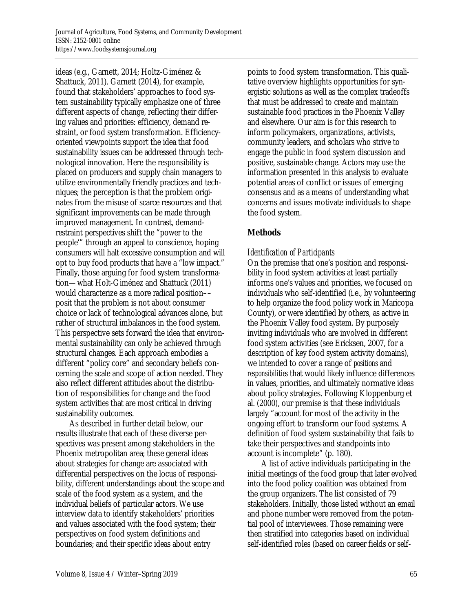ideas (e.g., Garnett, 2014; Holtz-Giménez & Shattuck, 2011). Garnett (2014), for example, found that stakeholders' approaches to food system sustainability typically emphasize one of three different aspects of change, reflecting their differing values and priorities: efficiency, demand restraint, or food system transformation. Efficiencyoriented viewpoints support the idea that food sustainability issues can be addressed through technological innovation. Here the responsibility is placed on producers and supply chain managers to utilize environmentally friendly practices and techniques; the perception is that the problem originates from the misuse of scarce resources and that significant improvements can be made through improved management. In contrast, demandrestraint perspectives shift the "power to the people'" through an appeal to conscience, hoping consumers will halt excessive consumption and will opt to buy food products that have a "low impact." Finally, those arguing for food system transformation—what Holt-Giménez and Shattuck (2011) would characterize as a more radical position–– posit that the problem is not about consumer choice or lack of technological advances alone, but rather of structural imbalances in the food system. This perspective sets forward the idea that environmental sustainability can only be achieved through structural changes. Each approach embodies a different "policy core" and secondary beliefs concerning the scale and scope of action needed. They also reflect different attitudes about the distribution of responsibilities for change and the food system activities that are most critical in driving sustainability outcomes.

 As described in further detail below, our results illustrate that each of these diverse perspectives was present among stakeholders in the Phoenix metropolitan area; these general ideas about strategies for change are associated with differential perspectives on the locus of responsibility, different understandings about the scope and scale of the food system as a system, and the individual beliefs of particular actors. We use interview data to identify stakeholders' priorities and values associated with the food system; their perspectives on food system definitions and boundaries; and their specific ideas about entry

points to food system transformation. This qualitative overview highlights opportunities for synergistic solutions as well as the complex tradeoffs that must be addressed to create and maintain sustainable food practices in the Phoenix Valley and elsewhere. Our aim is for this research to inform policymakers, organizations, activists, community leaders, and scholars who strive to engage the public in food system discussion and positive, sustainable change. Actors may use the information presented in this analysis to evaluate potential areas of conflict or issues of emerging consensus and as a means of understanding what concerns and issues motivate individuals to shape the food system.

# **Methods**

# *Identification of Participants*

On the premise that one's position and responsibility in food system activities at least partially informs one's values and priorities, we focused on individuals who self-identified (i.e., by volunteering to help organize the food policy work in Maricopa County), or were identified by others, as active in the Phoenix Valley food system. By purposely inviting individuals who are involved in different food system activities (see Ericksen, 2007, for a description of key food system activity domains), we intended to cover a range of *positions* and *responsibilities* that would likely influence differences in values, priorities, and ultimately normative ideas about policy strategies. Following Kloppenburg et al. (2000), our premise is that these individuals largely "account for most of the activity in the ongoing effort to transform our food systems. A definition of food system sustainability that fails to take their perspectives and standpoints into account is incomplete" (p. 180).

 A list of active individuals participating in the initial meetings of the food group that later evolved into the food policy coalition was obtained from the group organizers. The list consisted of 79 stakeholders. Initially, those listed without an email and phone number were removed from the potential pool of interviewees. Those remaining were then stratified into categories based on individual self-identified roles (based on career fields or self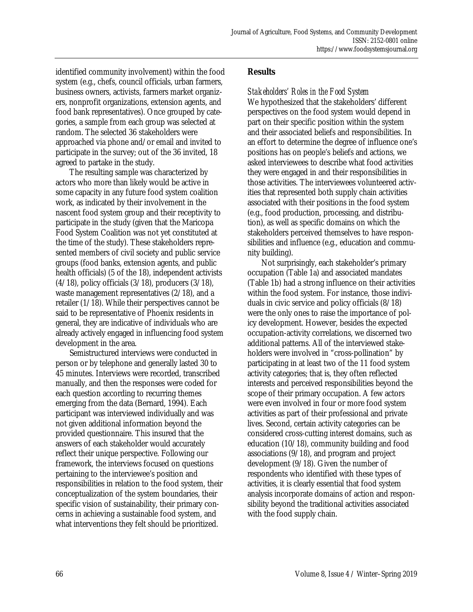identified community involvement) within the food system (e.g., chefs, council officials, urban farmers, business owners, activists, farmers market organizers, nonprofit organizations, extension agents, and food bank representatives). Once grouped by categories, a sample from each group was selected at random. The selected 36 stakeholders were approached via phone and/or email and invited to participate in the survey; out of the 36 invited, 18 agreed to partake in the study.

 The resulting sample was characterized by actors who more than likely would be active in some capacity in any future food system coalition work, as indicated by their involvement in the nascent food system group and their receptivity to participate in the study (given that the Maricopa Food System Coalition was not yet constituted at the time of the study). These stakeholders represented members of civil society and public service groups (food banks, extension agents, and public health officials) (5 of the 18), independent activists  $(4/18)$ , policy officials  $(3/18)$ , producers  $(3/18)$ , waste management representatives (2/18), and a retailer (1/18). While their perspectives cannot be said to be representative of Phoenix residents in general, they are indicative of individuals who are already actively engaged in influencing food system development in the area.

 Semistructured interviews were conducted in person or by telephone and generally lasted 30 to 45 minutes. Interviews were recorded, transcribed manually, and then the responses were coded for each question according to recurring themes emerging from the data (Bernard, 1994). Each participant was interviewed individually and was not given additional information beyond the provided questionnaire. This insured that the answers of each stakeholder would accurately reflect their unique perspective. Following our framework, the interviews focused on questions pertaining to the interviewee's position and responsibilities in relation to the food system, their conceptualization of the system boundaries, their specific vision of sustainability, their primary concerns in achieving a sustainable food system, and what interventions they felt should be prioritized.

# **Results**

*Stakeholders' Roles in the Food System*  We hypothesized that the stakeholders' different perspectives on the food system would depend in part on their specific position within the system and their associated beliefs and responsibilities. In an effort to determine the degree of influence one's positions has on people's beliefs and actions, we asked interviewees to describe what food activities they were engaged in and their responsibilities in those activities. The interviewees volunteered activities that represented both supply chain activities associated with their positions in the food system (e.g., food production, processing, and distribution), as well as specific domains on which the stakeholders perceived themselves to have responsibilities and influence (e.g., education and community building).

 Not surprisingly, each stakeholder's primary occupation (Table 1a) and associated mandates (Table 1b) had a strong influence on their activities within the food system. For instance, those individuals in civic service and policy officials (8/18) were the only ones to raise the importance of policy development. However, besides the expected occupation-activity correlations, we discerned two additional patterns. All of the interviewed stakeholders were involved in "cross-pollination" by participating in at least two of the 11 food system activity categories; that is, they often reflected interests and perceived responsibilities beyond the scope of their primary occupation. A few actors were even involved in four or more food system activities as part of their professional and private lives. Second, certain activity categories can be considered cross-cutting interest domains, such as education (10/18), community building and food associations (9/18), and program and project development (9/18). Given the number of respondents who identified with these types of activities, it is clearly essential that food system analysis incorporate domains of action and responsibility beyond the traditional activities associated with the food supply chain.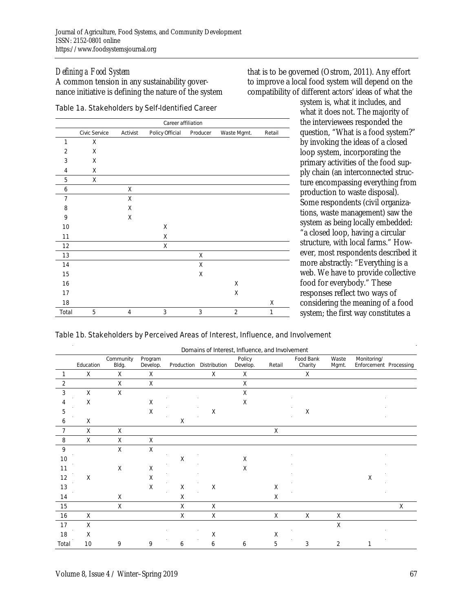# *Defining a Food System*

A common tension in any sustainability governance initiative is defining the nature of the system

#### Table 1a. Stakeholders by Self-Identified Career

|                | Career affiliation |          |                      |          |                |        |  |  |  |  |
|----------------|--------------------|----------|----------------------|----------|----------------|--------|--|--|--|--|
|                | Civic Service      | Activist | Policy Official      | Producer | Waste Mgmt.    | Retail |  |  |  |  |
| 1              | χ                  |          |                      |          |                |        |  |  |  |  |
| $\overline{2}$ | X                  |          |                      |          |                |        |  |  |  |  |
| 3              | Χ                  |          |                      |          |                |        |  |  |  |  |
| $\overline{4}$ | Χ                  |          |                      |          |                |        |  |  |  |  |
| 5              | χ                  |          | à.                   |          | à.             |        |  |  |  |  |
| 6              |                    | Χ        |                      |          |                |        |  |  |  |  |
| $\overline{7}$ | à,                 | Χ        | $\hat{\mathbf{r}}$   |          |                |        |  |  |  |  |
| 8              |                    | χ        |                      |          |                |        |  |  |  |  |
| 9              |                    | Χ        |                      |          |                |        |  |  |  |  |
| 10             |                    |          | Χ                    |          |                |        |  |  |  |  |
| 11             |                    |          | X                    |          |                |        |  |  |  |  |
| 12             |                    |          | Χ                    |          |                |        |  |  |  |  |
| 13             |                    |          |                      | X        |                |        |  |  |  |  |
| 14             |                    |          |                      | X        |                |        |  |  |  |  |
| 15             |                    |          |                      | Χ        |                |        |  |  |  |  |
| 16             |                    |          |                      |          | Χ              |        |  |  |  |  |
| 17             | à.                 |          | $\ddot{\phantom{a}}$ |          | Χ<br>$\alpha$  |        |  |  |  |  |
| 18             |                    |          |                      |          |                | X      |  |  |  |  |
| Total          | 5                  | 4        | 3                    | 3        | $\overline{2}$ | 1      |  |  |  |  |

that is to be governed (Ostrom, 2011). Any effort to improve a local food system will depend on the compatibility of different actors' ideas of what the

> system is, what it includes, and what it does not. The majority of the interviewees responded the question, "What is a food system?" by invoking the ideas of a closed loop system, incorporating the primary activities of the food supply chain (an interconnected structure encompassing everything from production to waste disposal). Some respondents (civil organizations, waste management) saw the system as being locally embedded: "a closed loop, having a circular structure, with local farms." However, most respondents described it more abstractly: "Everything is a web. We have to provide collective food for everybody." These responses reflect two ways of considering the meaning of a food system; the first way constitutes a

#### Table 1b. Stakeholders by Perceived Areas of Interest, Influence, and Involvement

|       | Domains of Interest, Influence, and Involvement |                    |                     |                |                                      |                    |                 |        |                                                       |                |                                       |   |
|-------|-------------------------------------------------|--------------------|---------------------|----------------|--------------------------------------|--------------------|-----------------|--------|-------------------------------------------------------|----------------|---------------------------------------|---|
|       | Education                                       | Community<br>Bldg. | Program<br>Develop. |                | Production Distribution              | Policy<br>Develop. |                 | Retail | Food Bank<br>Charity                                  | Waste<br>Mgmt. | Monitoring/<br>Enforcement Processing |   |
|       | X                                               | X                  | X                   |                | X                                    | X                  |                 |        | X                                                     |                |                                       |   |
| 2     |                                                 | X                  | Χ                   | $\sim 10^{-1}$ | $\sim 100$                           | X                  | <b>Contract</b> |        | $\sim 100$<br>$\sim$                                  |                |                                       |   |
| 3     | X                                               | X                  |                     |                |                                      | χ                  |                 |        |                                                       |                | $\sim$ $\sim$                         |   |
| 4     | X                                               |                    | X                   | $\sim 100$     | <b>Contractor</b>                    | X                  | $\sim 10^7$     |        | $\sim 100$<br><b>Contract</b>                         |                | <b>Contract</b>                       |   |
| 5     |                                                 |                    | Χ                   |                | X                                    |                    |                 |        | Χ                                                     |                |                                       |   |
| 6     | Χ                                               |                    |                     | χ              |                                      |                    |                 |        |                                                       |                |                                       |   |
|       | X                                               | X                  |                     |                |                                      |                    |                 | X      |                                                       |                |                                       |   |
| 8     | X                                               | X                  | X                   |                |                                      |                    |                 |        |                                                       |                |                                       |   |
| 9     |                                                 | X<br>$\sim$        | $\chi$              | $\sim 10^{-1}$ | $\sim 10^{-1}$                       |                    | <b>Contract</b> |        | <b>Contract</b>                                       |                | $\sim$ $\sim$                         |   |
| 10    |                                                 |                    |                     | Χ              |                                      | X                  |                 |        |                                                       |                |                                       |   |
| 11    |                                                 | X                  | Χ                   |                |                                      | X                  |                 |        |                                                       |                |                                       |   |
| 12    | X                                               |                    | Χ                   |                |                                      |                    |                 |        |                                                       |                | X                                     |   |
| 13    |                                                 |                    | X                   | X              | Χ                                    |                    |                 | X      |                                                       |                |                                       |   |
| 14    |                                                 | Χ<br>$\sim$        |                     | χ<br>$\sim$    | $\sim 100$<br>$\sim$                 |                    | $\sim$          | X      | $\sim$                                                |                |                                       |   |
| 15    |                                                 | X                  |                     | X              | X                                    |                    |                 |        |                                                       |                |                                       | X |
| 16    | Χ<br>$\sim 100$                                 |                    |                     | χ<br>$\sim$    | $\sf X$<br>$\alpha$<br>$\sim$ $\sim$ |                    | $\alpha$        | $\chi$ | $\sf X$<br>$\sim 100$ km s $^{-1}$<br><b>Contract</b> | Χ              | $\sim 100$ km s $^{-1}$               |   |
| 17    | X                                               |                    |                     |                |                                      |                    |                 |        |                                                       | X              |                                       |   |
| 18    | X                                               |                    |                     |                | $\sf X$                              |                    |                 | X      |                                                       |                |                                       |   |
| Total | 10                                              | 9                  | 9                   | 6              | 6                                    | 6                  |                 | 5      | 3                                                     | 2              |                                       |   |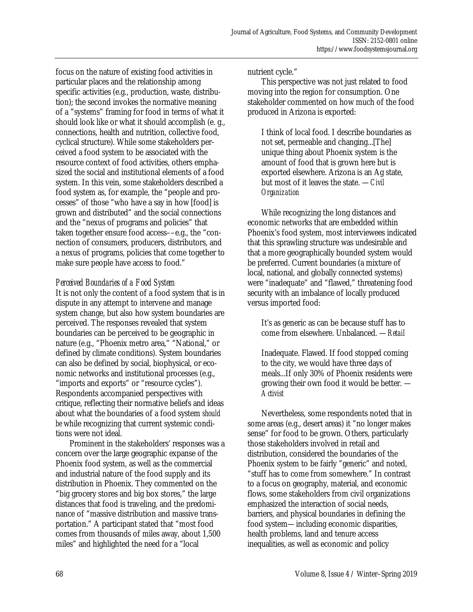focus on the nature of existing food activities in particular places and the relationship among specific activities (e.g., production, waste, distribution); the second invokes the normative meaning of a "systems" framing for food in terms of what it should look like or what it should accomplish (e. g., connections, health and nutrition, collective food, cyclical structure). While some stakeholders perceived a food system to be associated with the resource context of food activities, others emphasized the social and institutional elements of a food system. In this vein, some stakeholders described a food system as, for example, the "people and processes" of those "who have a say in how [food] is grown and distributed" and the social connections and the "nexus of programs and policies" that taken together ensure food access––e.g., the "connection of consumers, producers, distributors, and a nexus of programs, policies that come together to make sure people have access to food."

# *Perceived Boundaries of a Food System*

It is not only the content of a food system that is in dispute in any attempt to intervene and manage system change, but also how system boundaries are perceived. The responses revealed that system boundaries can be perceived to be geographic in nature (e.g., "Phoenix metro area," "National," or defined by climate conditions). System boundaries can also be defined by social, biophysical, or economic networks and institutional processes (e.g., "imports and exports" or "resource cycles"). Respondents accompanied perspectives with critique, reflecting their normative beliefs and ideas about what the boundaries of a food system *should be* while recognizing that current systemic conditions were not ideal.

 Prominent in the stakeholders' responses was a concern over the large geographic expanse of the Phoenix food system, as well as the commercial and industrial nature of the food supply and its distribution in Phoenix. They commented on the "big grocery stores and big box stores," the large distances that food is traveling, and the predominance of "massive distribution and massive transportation." A participant stated that "most food comes from thousands of miles away, about 1,500 miles" and highlighted the need for a "local

nutrient cycle."

 This perspective was not just related to food moving into the region for consumption. One stakeholder commented on how much of the food produced in Arizona is exported:

I think of local food. I describe boundaries as not set, permeable and changing...[The] unique thing about Phoenix system is the amount of food that is grown here but is exported elsewhere. Arizona is an Ag state, but most of it leaves the state. —*Civil Organization* 

 While recognizing the long distances and economic networks that are embedded within Phoenix's food system, most interviewees indicated that this sprawling structure was undesirable and that a more geographically bounded system would be preferred. Current boundaries (a mixture of local, national, and globally connected systems) were "inadequate" and "flawed," threatening food security with an imbalance of locally produced versus imported food:

It's as generic as can be because stuff has to come from elsewhere. Unbalanced. —*Retail*

Inadequate. Flawed. If food stopped coming to the city, we would have three days of meals...If only 30% of Phoenix residents were growing their own food it would be better. — *Activist* 

 Nevertheless, some respondents noted that in some areas (e.g., desert areas) it "no longer makes sense" for food to be grown. Others, particularly those stakeholders involved in retail and distribution, considered the boundaries of the Phoenix system to be fairly "generic" and noted, "stuff has to come from somewhere." In contrast to a focus on geography, material, and economic flows, some stakeholders from civil organizations emphasized the interaction of social needs, barriers, and physical boundaries in defining the food system—including economic disparities, health problems, land and tenure access inequalities, as well as economic and policy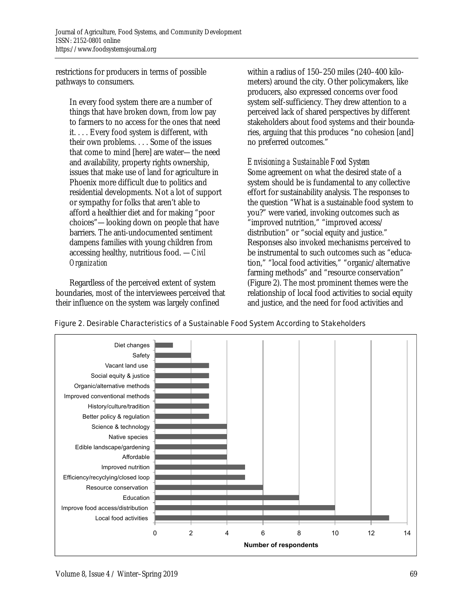restrictions for producers in terms of possible pathways to consumers.

In every food system there are a number of things that have broken down, from low pay to farmers to no access for the ones that need it. . . . Every food system is different, with their own problems. . . . Some of the issues that come to mind [here] are water—the need and availability, property rights ownership, issues that make use of land for agriculture in Phoenix more difficult due to politics and residential developments. Not a lot of support or sympathy for folks that aren't able to afford a healthier diet and for making "poor choices"—looking down on people that have barriers. The anti-undocumented sentiment dampens families with young children from accessing healthy, nutritious food. —*Civil Organization* 

 Regardless of the perceived extent of system boundaries, most of the interviewees perceived that their influence on the system was largely confined

within a radius of 150–250 miles (240–400 kilometers) around the city. Other policymakers, like producers, also expressed concerns over food system self-sufficiency. They drew attention to a perceived lack of shared perspectives by different stakeholders about food systems and their boundaries, arguing that this produces "no cohesion [and] no preferred outcomes."

*Envisioning a Sustainable Food System*  Some agreement on what the desired state of a system should be is fundamental to any collective effort for sustainability analysis. The responses to

the question "What is a sustainable food system to you?" were varied, invoking outcomes such as "improved nutrition," "improved access/ distribution" or "social equity and justice." Responses also invoked mechanisms perceived to be instrumental to such outcomes such as "education," "local food activities," "organic/alternative farming methods" and "resource conservation" (Figure 2). The most prominent themes were the relationship of local food activities to social equity and justice, and the need for food activities and



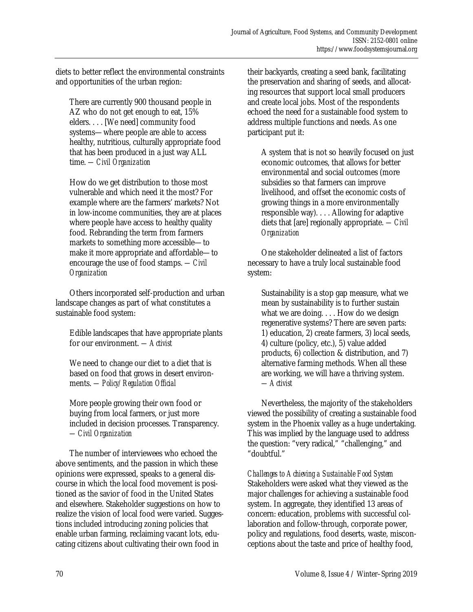diets to better reflect the environmental constraints and opportunities of the urban region:

There are currently 900 thousand people in AZ who do not get enough to eat, 15% elders. . . . [We need] community food systems—where people are able to access healthy, nutritious, culturally appropriate food that has been produced in a just way ALL time. *—Civil Organization* 

How do we get distribution to those most vulnerable and which need it the most? For example where are the farmers' markets? Not in low-income communities, they are at places where people have access to healthy quality food. Rebranding the term from farmers markets to something more accessible—to make it more appropriate and affordable—to encourage the use of food stamps. *—Civil Organization* 

 Others incorporated self-production and urban landscape changes as part of what constitutes a sustainable food system:

Edible landscapes that have appropriate plants for our environment. *—Activist* 

We need to change our diet to a diet that is based on food that grows in desert environments. *—Policy/Regulation Official* 

More people growing their own food or buying from local farmers, or just more included in decision processes. Transparency. *—Civil Organization*

 The number of interviewees who echoed the above sentiments, and the passion in which these opinions were expressed, speaks to a general discourse in which the local food movement is positioned as the savior of food in the United States and elsewhere. Stakeholder suggestions on how to realize the vision of local food were varied. Suggestions included introducing zoning policies that enable urban farming, reclaiming vacant lots, educating citizens about cultivating their own food in

their backyards, creating a seed bank, facilitating the preservation and sharing of seeds, and allocating resources that support local small producers and create local jobs. Most of the respondents echoed the need for a sustainable food system to address multiple functions and needs. As one participant put it:

A system that is not so heavily focused on just economic outcomes, that allows for better environmental and social outcomes (more subsidies so that farmers can improve livelihood, and offset the economic costs of growing things in a more environmentally responsible way). . . . Allowing for adaptive diets that [are] regionally appropriate. *—Civil Organization* 

 One stakeholder delineated a list of factors necessary to have a truly local sustainable food system:

Sustainability is a stop gap measure, what we mean by sustainability is to further sustain what we are doing. . . . How do we design regenerative systems? There are seven parts: 1) education, 2) create farmers, 3) local seeds, 4) culture (policy, etc.), 5) value added products, 6) collection & distribution, and 7) alternative farming methods. When all these are working, we will have a thriving system. *—Activist* 

 Nevertheless, the majority of the stakeholders viewed the possibility of creating a sustainable food system in the Phoenix valley as a huge undertaking. This was implied by the language used to address the question: "very radical," "challenging," and "doubtful."

*Challenges to Achieving a Sustainable Food System*  Stakeholders were asked what they viewed as the major challenges for achieving a sustainable food system. In aggregate, they identified 13 areas of concern: education, problems with successful collaboration and follow-through, corporate power, policy and regulations, food deserts, waste, misconceptions about the taste and price of healthy food,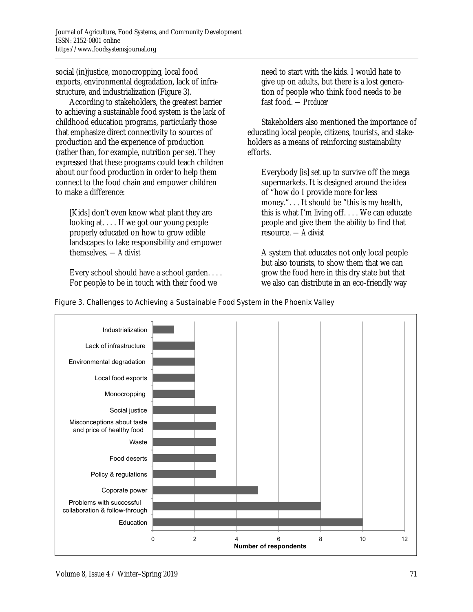social (in)justice, monocropping, local food exports, environmental degradation, lack of infrastructure, and industrialization (Figure 3).

 According to stakeholders, the greatest barrier to achieving a sustainable food system is the lack of childhood education programs, particularly those that emphasize direct connectivity to sources of production and the experience of production (rather than, for example, nutrition per se). They expressed that these programs could teach children about our food production in order to help them connect to the food chain and empower children to make a difference:

[Kids] don't even know what plant they are looking at. . . . If we got our young people properly educated on how to grow edible landscapes to take responsibility and empower themselves. *—Activist* 

Every school should have a school garden. . . . For people to be in touch with their food we

need to start with the kids. I would hate to give up on adults, but there is a lost generation of people who think food needs to be fast food. *—Producer* 

 Stakeholders also mentioned the importance of educating local people, citizens, tourists, and stakeholders as a means of reinforcing sustainability efforts.

Everybody [is] set up to survive off the mega supermarkets. It is designed around the idea of "how do I provide more for less money.". . . It should be "this is my health, this is what I'm living off. . . . We can educate people and give them the ability to find that resource. *—Activist* 

A system that educates not only local people but also tourists, to show them that we can grow the food here in this dry state but that we also can distribute in an eco-friendly way



### Figure 3. Challenges to Achieving a Sustainable Food System in the Phoenix Valley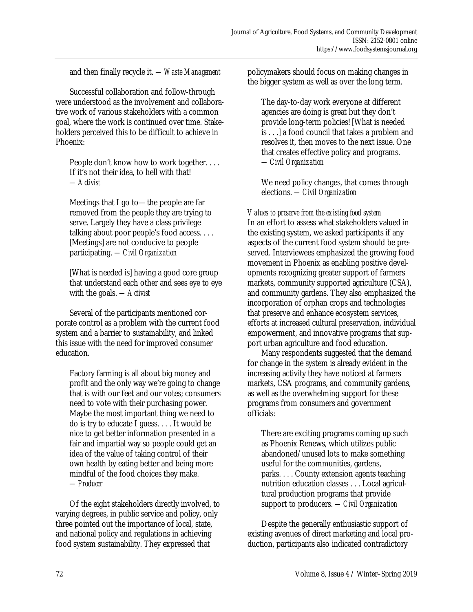and then finally recycle it. *—Waste Management* 

 Successful collaboration and follow-through were understood as the involvement and collaborative work of various stakeholders with a common goal, where the work is continued over time. Stakeholders perceived this to be difficult to achieve in Phoenix:

People don't know how to work together. . . . If it's not their idea, to hell with that! *—Activist* 

Meetings that I go to—the people are far removed from the people they are trying to serve. Largely they have a class privilege talking about poor people's food access. . . . [Meetings] are not conducive to people participating. *—Civil Organization* 

[What is needed is] having a good core group that understand each other and sees eye to eye with the goals. *—Activist*

Several of the participants mentioned corporate control as a problem with the current food system and a barrier to sustainability, and linked this issue with the need for improved consumer education.

Factory farming is all about big money and profit and the only way we're going to change that is with our feet and our votes; consumers need to vote with their purchasing power. Maybe the most important thing we need to do is try to educate I guess. . . . It would be nice to get better information presented in a fair and impartial way so people could get an idea of the value of taking control of their own health by eating better and being more mindful of the food choices they make. *—Producer* 

 Of the eight stakeholders directly involved, to varying degrees, in public service and policy, only three pointed out the importance of local, state, and national policy and regulations in achieving food system sustainability. They expressed that

policymakers should focus on making changes in the bigger system as well as over the long term.

The day-to-day work everyone at different agencies are doing is great but they don't provide long-term policies! [What is needed is . . .] a food council that takes a problem and resolves it, then moves to the next issue. One that creates effective policy and programs. *—Civil Organization* 

We need policy changes, that comes through elections. *—Civil Organization* 

*Values to preserve from the existing food system*  In an effort to assess what stakeholders valued in the existing system, we asked participants if any aspects of the current food system should be preserved. Interviewees emphasized the growing food movement in Phoenix as enabling positive developments recognizing greater support of farmers markets, community supported agriculture (CSA), and community gardens. They also emphasized the incorporation of orphan crops and technologies that preserve and enhance ecosystem services, efforts at increased cultural preservation, individual empowerment, and innovative programs that support urban agriculture and food education.

 Many respondents suggested that the demand for change in the system is already evident in the increasing activity they have noticed at farmers markets, CSA programs, and community gardens, as well as the overwhelming support for these programs from consumers and government officials:

There are exciting programs coming up such as Phoenix Renews, which utilizes public abandoned/unused lots to make something useful for the communities, gardens, parks. . . . County extension agents teaching nutrition education classes . . . Local agricultural production programs that provide support to producers. *—Civil Organization* 

 Despite the generally enthusiastic support of existing avenues of direct marketing and local production, participants also indicated contradictory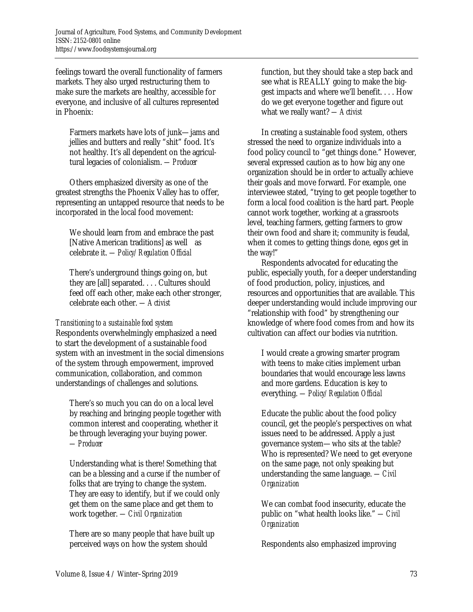feelings toward the overall functionality of farmers markets. They also urged restructuring them to make sure the markets are healthy, accessible for everyone, and inclusive of all cultures represented in Phoenix:

Farmers markets have lots of junk—jams and jellies and butters and really "shit" food. It's not healthy. It's all dependent on the agricultural legacies of colonialism. *—Producer* 

 Others emphasized diversity as one of the greatest strengths the Phoenix Valley has to offer, representing an untapped resource that needs to be incorporated in the local food movement:

We should learn from and embrace the past [Native American traditions] as well as celebrate it. *—Policy/Regulation Official*

There's underground things going on, but they are [all] separated. . . . Cultures should feed off each other, make each other stronger, celebrate each other. *—Activist* 

# *Transitioning to a sustainable food system*

Respondents overwhelmingly emphasized a need to start the development of a sustainable food system with an investment in the social dimensions of the system through empowerment, improved communication, collaboration, and common understandings of challenges and solutions.

There's so much you can do on a local level by reaching and bringing people together with common interest and cooperating, whether it be through leveraging your buying power. *—Producer* 

Understanding what is there! Something that can be a blessing and a curse if the number of folks that are trying to change the system. They are easy to identify, but if we could only get them on the same place and get them to work together. *—Civil Organization* 

There are so many people that have built up perceived ways on how the system should

function, but they should take a step back and see what is REALLY going to make the biggest impacts and where we'll benefit. . . . How do we get everyone together and figure out what we really want? *—Activist* 

 In creating a sustainable food system, others stressed the need to organize individuals into a food policy council to "get things done." However, several expressed caution as to how big any one organization should be in order to actually achieve their goals and move forward. For example, one interviewee stated, "trying to get people together to form a local food coalition is the hard part. People cannot work together, working at a grassroots level, teaching farmers, getting farmers to grow their own food and share it; community is feudal, when it comes to getting things done, egos get in the way!"

 Respondents advocated for educating the public, especially youth, for a deeper understanding of food production, policy, injustices, and resources and opportunities that are available. This deeper understanding would include improving our "relationship with food" by strengthening our knowledge of where food comes from and how its cultivation can affect our bodies via nutrition.

I would create a growing smarter program with teens to make cities implement urban boundaries that would encourage less lawns and more gardens. Education is key to everything. *—Policy/Regulation Official* 

Educate the public about the food policy council, get the people's perspectives on what issues need to be addressed. Apply a just governance system—who sits at the table? Who is represented? We need to get everyone on the same page, not only speaking but understanding the same language. *—Civil Organization* 

We can combat food insecurity, educate the public on "what health looks like." *—Civil Organization* 

Respondents also emphasized improving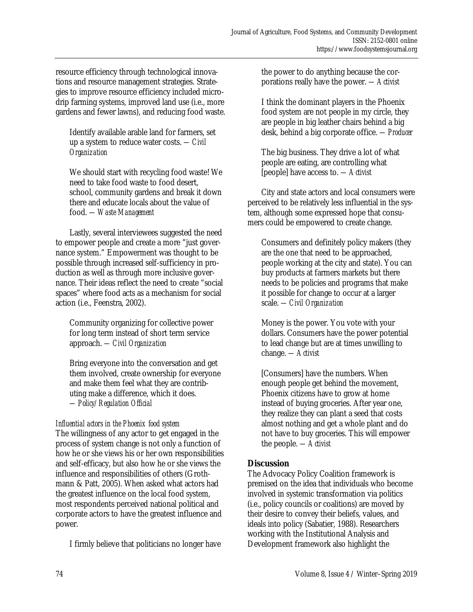resource efficiency through technological innovations and resource management strategies. Strategies to improve resource efficiency included microdrip farming systems, improved land use (i.e., more gardens and fewer lawns), and reducing food waste.

Identify available arable land for farmers, set up a system to reduce water costs. *—Civil Organization* 

We should start with recycling food waste! We need to take food waste to food desert, school, community gardens and break it down there and educate locals about the value of food. *—Waste Management* 

 Lastly, several interviewees suggested the need to empower people and create a more "just governance system." Empowerment was thought to be possible through increased self-sufficiency in production as well as through more inclusive governance. Their ideas reflect the need to create "social spaces" where food acts as a mechanism for social action (i.e., Feenstra, 2002).

Community organizing for collective power for long term instead of short term service approach. *—Civil Organization* 

Bring everyone into the conversation and get them involved, create ownership for everyone and make them feel what they are contributing make a difference, which it does. *—Policy/Regulation Official* 

# *Influential actors in the Phoenix food system*

The willingness of any actor to get engaged in the process of system change is not only a function of how he or she views his or her own responsibilities and self-efficacy, but also how he or she views the influence and responsibilities of others (Grothmann & Patt, 2005). When asked what actors had the greatest influence on the local food system, most respondents perceived national political and corporate actors to have the greatest influence and power.

I firmly believe that politicians no longer have

the power to do anything because the corporations really have the power. *—Activist* 

I think the dominant players in the Phoenix food system are not people in my circle, they are people in big leather chairs behind a big desk, behind a big corporate office. *—Producer* 

The big business. They drive a lot of what people are eating, are controlling what [people] have access to. *—Activist* 

 City and state actors and local consumers were perceived to be relatively less influential in the system, although some expressed hope that consumers could be empowered to create change.

Consumers and definitely policy makers (they are the one that need to be approached, people working at the city and state). You can buy products at farmers markets but there needs to be policies and programs that make it possible for change to occur at a larger scale. *—Civil Organization* 

Money is the power. You vote with your dollars. Consumers have the power potential to lead change but are at times unwilling to change. *—Activist* 

[Consumers] have the numbers. When enough people get behind the movement, Phoenix citizens have to grow at home instead of buying groceries. After year one, they realize they can plant a seed that costs almost nothing and get a whole plant and do not have to buy groceries. This will empower the people. *—Activist* 

# **Discussion**

The Advocacy Policy Coalition framework is premised on the idea that individuals who become involved in systemic transformation via politics (i.e., policy councils or coalitions) are moved by their desire to convey their beliefs, values, and ideals into policy (Sabatier, 1988). Researchers working with the Institutional Analysis and Development framework also highlight the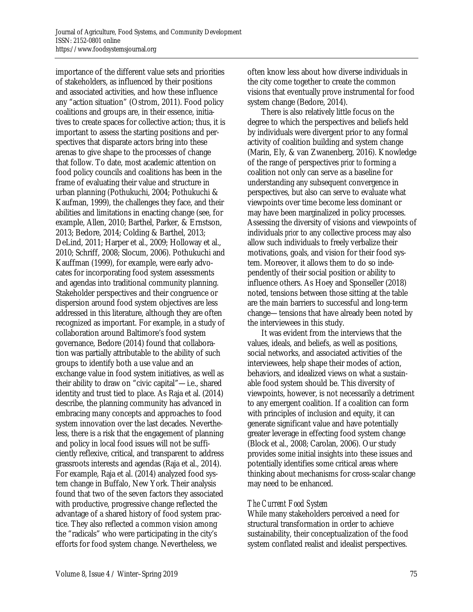importance of the different value sets and priorities of stakeholders, as influenced by their positions and associated activities, and how these influence any "action situation" (Ostrom, 2011). Food policy coalitions and groups are, in their essence, initiatives to create spaces for collective action; thus, it is important to assess the starting positions and perspectives that disparate actors bring into these arenas to give shape to the processes of change that follow. To date, most academic attention on food policy councils and coalitions has been in the frame of evaluating their value and structure in urban planning (Pothukuchi, 2004; Pothukuchi & Kaufman, 1999), the challenges they face, and their abilities and limitations in enacting change (see, for example, Allen, 2010; Barthel, Parker, & Ernstson, 2013; Bedore, 2014; Colding & Barthel, 2013; DeLind, 2011; Harper et al., 2009; Holloway et al., 2010; Schriff, 2008; Slocum, 2006). Pothukuchi and Kauffman (1999), for example, were early advocates for incorporating food system assessments and agendas into traditional community planning. Stakeholder perspectives and their congruence or dispersion around food system objectives are less addressed in this literature, although they are often recognized as important. For example, in a study of collaboration around Baltimore's food system governance, Bedore (2014) found that collaboration was partially attributable to the ability of such groups to identify both a use value and an exchange value in food system initiatives, as well as their ability to draw on "civic capital"—i.e., shared identity and trust tied to place. As Raja et al. (2014) describe, the planning community has advanced in embracing many concepts and approaches to food system innovation over the last decades. Nevertheless, there is a risk that the engagement of planning and policy in local food issues will not be sufficiently reflexive, critical, and transparent to address grassroots interests and agendas (Raja et al., 2014). For example, Raja et al. (2014) analyzed food system change in Buffalo, New York. Their analysis found that two of the seven factors they associated with productive, progressive change reflected the advantage of a shared history of food system practice. They also reflected a common vision among the "radicals" who were participating in the city's efforts for food system change. Nevertheless, we

often know less about how diverse individuals in the city come together to create the common visions that eventually prove instrumental for food system change (Bedore, 2014).

 There is also relatively little focus on the degree to which the perspectives and beliefs held by individuals were divergent prior to any formal activity of coalition building and system change (Marin, Ely, & van Zwanenberg, 2016). Knowledge of the range of perspectives *prior to* forming a coalition not only can serve as a baseline for understanding any subsequent convergence in perspectives, but also can serve to evaluate what viewpoints over time become less dominant or may have been marginalized in policy processes. Assessing the diversity of visions and viewpoints of individuals *prior* to any collective process may also allow such individuals to freely verbalize their motivations, goals, and vision for their food system. Moreover, it allows them to do so independently of their social position or ability to influence others. As Hoey and Sponseller (2018) noted, tensions between those sitting at the table are the main barriers to successful and long-term change—tensions that have already been noted by the interviewees in this study.

 It was evident from the interviews that the values, ideals, and beliefs, as well as positions, social networks, and associated activities of the interviewees, help shape their modes of action, behaviors, and idealized views on what a sustainable food system should be. This diversity of viewpoints, however, is not necessarily a detriment to any emergent coalition. If a coalition can form with principles of inclusion and equity, it can generate significant value and have potentially greater leverage in effecting food system change (Block et al., 2008; Carolan, 2006). Our study provides some initial insights into these issues and potentially identifies some critical areas where thinking about mechanisms for cross-scalar change may need to be enhanced.

# *The Current Food System*

While many stakeholders perceived a need for structural transformation in order to achieve sustainability, their conceptualization of the food system conflated realist and idealist perspectives.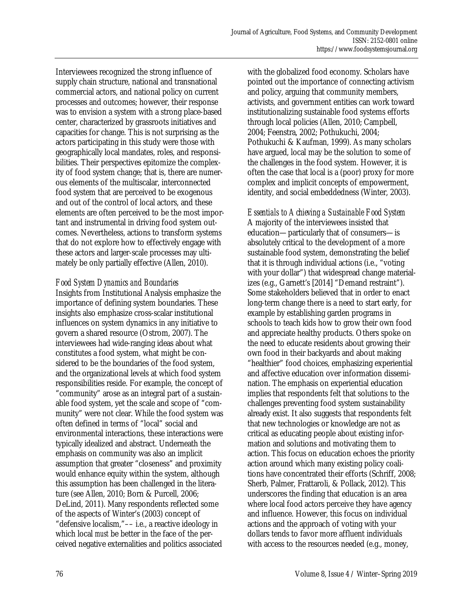Interviewees recognized the strong influence of supply chain structure, national and transnational commercial actors, and national policy on current processes and outcomes; however, their response was to envision a system with a strong place-based center, characterized by grassroots initiatives and capacities for change. This is not surprising as the actors participating in this study were those with geographically local mandates, roles, and responsibilities. Their perspectives epitomize the complexity of food system change; that is, there are numerous elements of the multiscalar, interconnected food system that are perceived to be exogenous and out of the control of local actors, and these elements are often perceived to be the most important and instrumental in driving food system outcomes. Nevertheless, actions to transform systems that do not explore how to effectively engage with these actors and larger-scale processes may ultimately be only partially effective (Allen, 2010).

# *Food System Dynamics and Boundaries*

Insights from Institutional Analysis emphasize the importance of defining system boundaries. These insights also emphasize cross-scalar institutional influences on system dynamics in any initiative to govern a shared resource (Ostrom, 2007). The interviewees had wide-ranging ideas about what constitutes a food system, what might be considered to be the boundaries of the food system, and the organizational levels at which food system responsibilities reside. For example, the concept of "community" arose as an integral part of a sustainable food system, yet the scale and scope of "community" were not clear. While the food system was often defined in terms of "local" social and environmental interactions, these interactions were typically idealized and abstract. Underneath the emphasis on community was also an implicit assumption that greater "closeness" and proximity would enhance equity within the system, although this assumption has been challenged in the literature (see Allen, 2010; Born & Purcell, 2006; DeLind, 2011). Many respondents reflected some of the aspects of Winter's (2003) concept of "defensive localism,"–– i.e., a reactive ideology in which local *must* be better in the face of the perceived negative externalities and politics associated

with the globalized food economy. Scholars have pointed out the importance of connecting activism and policy, arguing that community members, activists, and government entities can work toward institutionalizing sustainable food systems efforts through local policies (Allen, 2010; Campbell, 2004; Feenstra, 2002; Pothukuchi, 2004; Pothukuchi & Kaufman, 1999). As many scholars have argued, local may be the solution to some of the challenges in the food system. However, it is often the case that local is a (poor) proxy for more complex and implicit concepts of empowerment, identity, and social embeddedness (Winter, 2003).

*Essentials to Achieving a Sustainable Food System*  A majority of the interviewees insisted that education—particularly that of consumers—is absolutely critical to the development of a more sustainable food system, demonstrating the belief that it is through individual actions (i.e., "voting with your dollar") that widespread change materializes (e.g., Garnett's [2014] "Demand restraint"). Some stakeholders believed that in order to enact long-term change there is a need to start early, for example by establishing garden programs in schools to teach kids how to grow their own food and appreciate healthy products. Others spoke on the need to educate residents about growing their own food in their backyards and about making "healthier" food choices, emphasizing experiential and affective education over information dissemination. The emphasis on experiential education implies that respondents felt that solutions to the challenges preventing food system sustainability already exist. It also suggests that respondents felt that new technologies or knowledge are not as critical as educating people about existing information and solutions and motivating them to action. This focus on education echoes the priority action around which many existing policy coalitions have concentrated their efforts (Schriff, 2008; Sherb, Palmer, Frattaroli, & Pollack, 2012). This underscores the finding that education is an area where local food actors perceive they have agency and influence. However, this focus on individual actions and the approach of voting with your dollars tends to favor more affluent individuals with access to the resources needed (e.g., money,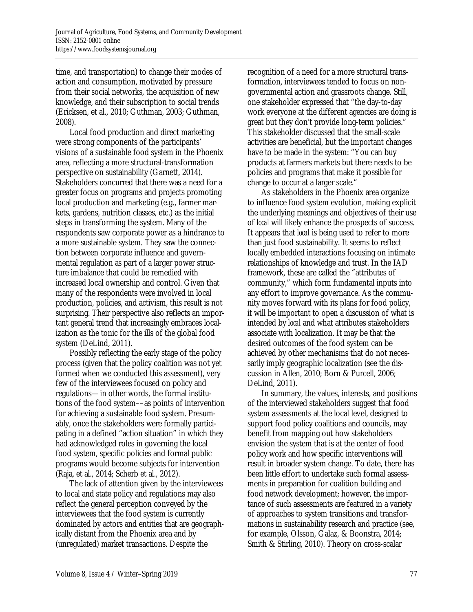time, and transportation) to change their modes of action and consumption, motivated by pressure from their social networks, the acquisition of new knowledge, and their subscription to social trends (Ericksen, et al., 2010; Guthman, 2003; Guthman, 2008).

 Local food production and direct marketing were strong components of the participants' visions of a sustainable food system in the Phoenix area, reflecting a more structural-transformation perspective on sustainability (Garnett, 2014). Stakeholders concurred that there was a need for a greater focus on programs and projects promoting local production and marketing (e.g., farmer markets, gardens, nutrition classes, etc.) as the initial steps in transforming the system. Many of the respondents saw corporate power as a hindrance to a more sustainable system. They saw the connection between corporate influence and governmental regulation as part of a larger power structure imbalance that could be remedied with increased local ownership and control. Given that many of the respondents were involved in local production, policies, and activism, this result is not surprising. Their perspective also reflects an important general trend that increasingly embraces localization as the tonic for the ills of the global food system (DeLind, 2011).

 Possibly reflecting the early stage of the policy process (given that the policy coalition was not yet formed when we conducted this assessment), very few of the interviewees focused on policy and regulations—in other words, the formal institutions of the food system––as points of intervention for achieving a sustainable food system. Presumably, once the stakeholders were formally participating in a defined "action situation" in which they had acknowledged roles in governing the local food system, specific policies and formal public programs would become subjects for intervention (Raja, et al., 2014; Scherb et al., 2012).

 The lack of attention given by the interviewees to local and state policy and regulations may also reflect the general perception conveyed by the interviewees that the food system is currently dominated by actors and entities that are geographically distant from the Phoenix area and by (unregulated) market transactions. Despite the

recognition of a need for a more structural transformation, interviewees tended to focus on nongovernmental action and grassroots change. Still, one stakeholder expressed that "the day-to-day work everyone at the different agencies are doing is great but they don't provide long-term policies." This stakeholder discussed that the small-scale activities are beneficial, but the important changes have to be made in the system: "You can buy products at farmers markets but there needs to be policies and programs that make it possible for change to occur at a larger scale."

 As stakeholders in the Phoenix area organize to influence food system evolution, making explicit the underlying meanings and objectives of their use of *local* will likely enhance the prospects of success. It appears that *local* is being used to refer to more than just food sustainability. It seems to reflect locally embedded interactions focusing on intimate relationships of knowledge and trust. In the IAD framework, these are called the "attributes of community," which form fundamental inputs into any effort to improve governance. As the community moves forward with its plans for food policy, it will be important to open a discussion of what is intended by *local* and what attributes stakeholders associate with localization. It may be that the desired outcomes of the food system can be achieved by other mechanisms that do not necessarily imply geographic localization (see the discussion in Allen, 2010; Born & Purcell, 2006; DeLind, 2011).

 In summary, the values, interests, and positions of the interviewed stakeholders suggest that food system assessments at the local level, designed to support food policy coalitions and councils, may benefit from mapping out how stakeholders envision the system that is at the center of food policy work and how specific interventions will result in broader system change. To date, there has been little effort to undertake such formal assessments in preparation for coalition building and food network development; however, the importance of such assessments are featured in a variety of approaches to system transitions and transformations in sustainability research and practice (see, for example, Olsson, Galaz, & Boonstra, 2014; Smith & Stirling, 2010). Theory on cross-scalar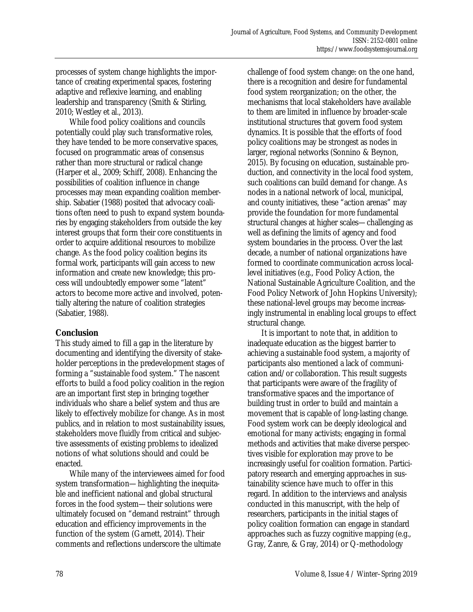processes of system change highlights the importance of creating experimental spaces, fostering adaptive and reflexive learning, and enabling leadership and transparency (Smith & Stirling, 2010; Westley et al., 2013).

 While food policy coalitions and councils potentially could play such transformative roles, they have tended to be more conservative spaces, focused on programmatic areas of consensus rather than more structural or radical change (Harper et al., 2009; Schiff, 2008). Enhancing the possibilities of coalition influence in change processes may mean expanding coalition membership. Sabatier (1988) posited that advocacy coalitions often need to push to expand system boundaries by engaging stakeholders from outside the key interest groups that form their core constituents in order to acquire additional resources to mobilize change. As the food policy coalition begins its formal work, participants will gain access to new information and create new knowledge; this process will undoubtedly empower some "latent" actors to become more active and involved, potentially altering the nature of coalition strategies (Sabatier, 1988).

# **Conclusion**

This study aimed to fill a gap in the literature by documenting and identifying the diversity of stakeholder perceptions in the predevelopment stages of forming a "sustainable food system." The nascent efforts to build a food policy coalition in the region are an important first step in bringing together individuals who share a belief system and thus are likely to effectively mobilize for change. As in most publics, and in relation to most sustainability issues, stakeholders move fluidly from critical and subjective assessments of existing problems to idealized notions of what solutions should and could be enacted.

 While many of the interviewees aimed for food system transformation—highlighting the inequitable and inefficient national and global structural forces in the food system—their solutions were ultimately focused on "demand restraint" through education and efficiency improvements in the function of the system (Garnett, 2014). Their comments and reflections underscore the ultimate

challenge of food system change: on the one hand, there is a recognition and desire for fundamental food system reorganization; on the other, the mechanisms that local stakeholders have available to them are limited in influence by broader-scale institutional structures that govern food system dynamics. It is possible that the efforts of food policy coalitions may be strongest as nodes in larger, regional networks (Sonnino & Beynon, 2015). By focusing on education, sustainable production, and connectivity in the local food system, such coalitions can build demand for change. As nodes in a national network of local, municipal, and county initiatives, these "action arenas" may provide the foundation for more fundamental structural changes at higher scales—challenging as well as defining the limits of agency and food system boundaries in the process. Over the last decade, a number of national organizations have formed to coordinate communication across locallevel initiatives (e.g., Food Policy Action, the National Sustainable Agriculture Coalition, and the Food Policy Network of John Hopkins University); these national-level groups may become increasingly instrumental in enabling local groups to effect structural change.

 It is important to note that, in addition to inadequate education as the biggest barrier to achieving a sustainable food system, a majority of participants also mentioned a lack of communication and/or collaboration. This result suggests that participants were aware of the fragility of transformative spaces and the importance of building trust in order to build and maintain a movement that is capable of long-lasting change. Food system work can be deeply ideological and emotional for many activists; engaging in formal methods and activities that make diverse perspectives visible for exploration may prove to be increasingly useful for coalition formation. Participatory research and emerging approaches in sustainability science have much to offer in this regard. In addition to the interviews and analysis conducted in this manuscript, with the help of researchers, participants in the initial stages of policy coalition formation can engage in standard approaches such as fuzzy cognitive mapping (e.g., Gray, Zanre, & Gray, 2014) or Q-methodology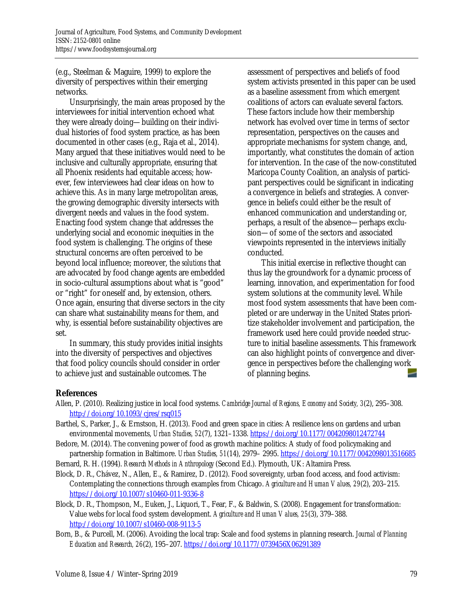(e.g., Steelman & Maguire, 1999) to explore the diversity of perspectives within their emerging networks.

 Unsurprisingly, the main areas proposed by the interviewees for initial intervention echoed what they were already doing—building on their individual histories of food system practice, as has been documented in other cases (e.g., Raja et al., 2014). Many argued that these initiatives would need to be inclusive and culturally appropriate, ensuring that all Phoenix residents had equitable access; however, few interviewees had clear ideas on how to achieve this. As in many large metropolitan areas, the growing demographic diversity intersects with divergent needs and values in the food system. Enacting food system change that addresses the underlying social and economic inequities in the food system is challenging. The origins of these structural concerns are often perceived to be beyond local influence; moreover, the *solutions* that are advocated by food change agents are embedded in socio-cultural assumptions about what is "good" or "right" for oneself and, by extension, others. Once again, ensuring that diverse sectors in the city can share what sustainability means for them, and why, is essential before sustainability objectives are set.

 In summary, this study provides initial insights into the diversity of perspectives and objectives that food policy councils should consider in order to achieve just and sustainable outcomes. The

assessment of perspectives and beliefs of food system activists presented in this paper can be used as a baseline assessment from which emergent coalitions of actors can evaluate several factors. These factors include how their membership network has evolved over time in terms of sector representation, perspectives on the causes and appropriate mechanisms for system change, and, importantly, what constitutes the domain of action for intervention. In the case of the now-constituted Maricopa County Coalition, an analysis of participant perspectives could be significant in indicating a convergence in beliefs and strategies. A convergence in beliefs could either be the result of enhanced communication and understanding or, perhaps, a result of the absence—perhaps exclusion—of some of the sectors and associated viewpoints represented in the interviews initially conducted.

 This initial exercise in reflective thought can thus lay the groundwork for a dynamic process of learning, innovation, and experimentation for food system solutions at the community level. While most food system assessments that have been completed or are underway in the United States prioritize stakeholder involvement and participation, the framework used here could provide needed structure to initial baseline assessments. This framework can also highlight points of convergence and divergence in perspectives before the challenging work of planning begins.

# **References**

- Allen, P. (2010). Realizing justice in local food systems. *Cambridge Journal of Regions, Economy and Society, 3*(2), 295–308. http://doi.org/10.1093/cjres/rsq015
- Barthel, S., Parker, J., & Ernstson, H. (2013). Food and green space in cities: A resilience lens on gardens and urban environmental movements, *Urban Studies, 52*(7), 1321–1338. https://doi.org/10.1177/0042098012472744
- Bedore, M. (2014). The convening power of food as growth machine politics: A study of food policymaking and partnership formation in Baltimore. *Urban Studies, 51*(14), 2979– 2995. https://doi.org/10.1177/0042098013516685
- Bernard, R. H. (1994). *Research Methods in Anthropology* (Second Ed.). Plymouth, UK: Altamira Press.
- Block, D. R., Chávez, N., Allen, E., & Ramirez, D. (2012). Food sovereignty, urban food access, and food activism: Contemplating the connections through examples from Chicago. *Agriculture and Human Values, 29*(2), 203–215. https://doi.org/10.1007/s10460-011-9336-8
- Block, D. R., Thompson, M., Euken, J., Liquori, T., Fear, F., & Baldwin, S. (2008). Engagement for transformation: Value webs for local food system development. *Agriculture and Human Values, 25*(3), 379–388. http://doi.org/10.1007/s10460-008-9113-5
- Born, B., & Purcell, M. (2006). Avoiding the local trap: Scale and food systems in planning research. *Journal of Planning Education and Research, 26*(2), 195–207. https://doi.org/10.1177/0739456X06291389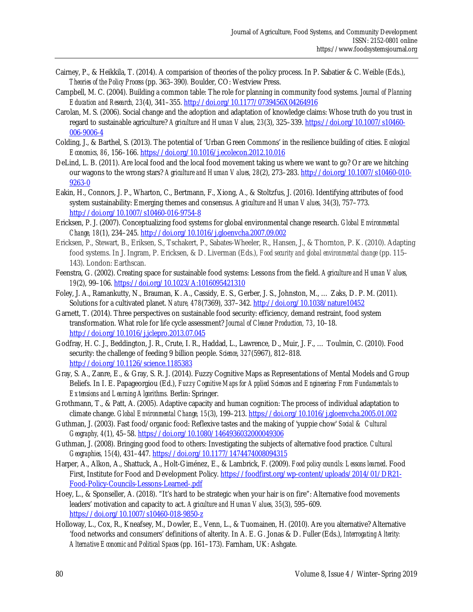- Cairney, P., & Heikkila, T. (2014). A comparision of theories of the policy process. In P. Sabatier & C. Weible (Eds.), *Theories of the Policy Process* (pp. 363–390)*.* Boulder, CO: Westview Press.
- Campbell, M. C. (2004). Building a common table: The role for planning in community food systems. *Journal of Planning Education and Research, 23*(4), 341–355. http://doi.org/10.1177/0739456X04264916
- Carolan, M. S. (2006). Social change and the adoption and adaptation of knowledge claims: Whose truth do you trust in regard to sustainable agriculture? *Agriculture and Human Values, 23*(3), 325–339. https://doi.org/10.1007/s10460- 006-9006-4
- Colding, J., & Barthel, S. (2013). The potential of 'Urban Green Commons' in the resilience building of cities. *Ecological Economics, 86*, 156–166. https://doi.org/10.1016/j.ecolecon.2012.10.016
- DeLind, L. B. (2011). Are local food and the local food movement taking us where we want to go? Or are we hitching our wagons to the wrong stars? *Agriculture and Human Values, 28*(2), 273–283. http://doi.org/10.1007/s10460-010- 9263-0
- Eakin, H., Connors, J. P., Wharton, C., Bertmann, F., Xiong, A., & Stoltzfus, J. (2016). Identifying attributes of food system sustainability: Emerging themes and consensus. *Agriculture and Human Values, 34*(3), 757–773. http://doi.org/10.1007/s10460-016-9754-8
- Ericksen, P. J. (2007). Conceptualizing food systems for global environmental change research. *Global Environmental Change, 18*(1), 234–245. http://doi.org/10.1016/j.gloenvcha.2007.09.002
- Ericksen, P., Stewart, B., Eriksen, S., Tschakert, P., Sabates-Wheeler, R., Hansen, J., & Thornton, P. K. (2010). Adapting food systems. In J. Ingram, P. Ericksen, & D. Liverman (Eds.), *Food security and global environmental change* (pp. 115– 143). London: Earthscan.
- Feenstra, G. (2002). Creating space for sustainable food systems: Lessons from the field. *Agriculture and Human Values, 19*(2), 99–106. https://doi.org/10.1023/A:1016095421310
- Foley, J. A., Ramankutty, N., Brauman, K. A., Cassidy, E. S., Gerber, J. S., Johnston, M., … Zaks, D. P. M. (2011). Solutions for a cultivated planet. *Nature, 478*(7369), 337–342. http://doi.org/10.1038/nature10452
- Garnett, T. (2014). Three perspectives on sustainable food security: efficiency, demand restraint, food system transformation. What role for life cycle assessment? *Journal of Cleaner Production, 73*, 10–18. http://doi.org/10.1016/j.jclepro.2013.07.045
- Godfray, H. C. J., Beddington, J. R., Crute, I. R., Haddad, L., Lawrence, D., Muir, J. F., … Toulmin, C. (2010). Food security: the challenge of feeding 9 billion people. *Science*, *327*(5967), 812–818. http://doi.org/10.1126/science.1185383
- Gray, S. A., Zanre, E., & Gray, S. R. J. (2014). Fuzzy Cognitive Maps as Representations of Mental Models and Group Beliefs. In I. E. Papageorgiou (Ed.), *Fuzzy Cognitive Maps for Applied Sciences and Engineering: From Fundamentals to Extensions and Learning Algorithms.* Berlin: Springer.
- Grothmann, T., & Patt, A. (2005). Adaptive capacity and human cognition: The process of individual adaptation to climate change. *Global Environmental Change, 15*(3), 199–213. https://doi.org/10.1016/j.gloenvcha.2005.01.002
- Guthman, J. (2003). Fast food/organic food: Reflexive tastes and the making of 'yuppie chow' *Social & Cultural Geography, 4*(1), 45–58. https://doi.org/10.1080/1464936032000049306
- Guthman, J. (2008). Bringing good food to others: Investigating the subjects of alternative food practice. *Cultural Geographies, 15*(4), 431–447. https://doi.org/10.1177/1474474008094315
- Harper, A., Alkon, A., Shattuck, A., Holt-Giménez, E., & Lambrick, F. (2009). *Food policy councils: Lessons learned*. Food First, Institute for Food and Development Policy. https://foodfirst.org/wp-content/uploads/2014/01/DR21-Food-Policy-Councils-Lessons-Learned-.pdf
- Hoey, L., & Sponseller, A. (2018). "It's hard to be strategic when your hair is on fire": Alternative food movements leaders' motivation and capacity to act. *Agriculture and Human Values, 35*(3), 595–609. https://doi.org/10.1007/s10460-018-9850-z
- Holloway, L., Cox, R., Kneafsey, M., Dowler, E., Venn, L., & Tuomainen, H. (2010). Are you alternative? Alternative 'food networks and consumers' definitions of alterity. In A. E. G. Jonas & D. Fuller (Eds.), *Interrogating Alterity: Alternative Economic and Political Spaces* (pp. 161–173). Farnham, UK: Ashgate.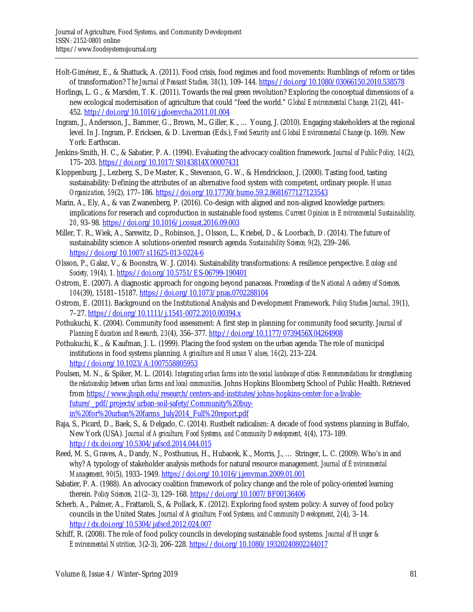- Holt-Giménez, E., & Shattuck, A. (2011). Food crisis, food regimes and food movements: Rumblings of reform or tides of transformation? *The Journal of Peasant Studies, 38*(1), 109–144. https://doi.org/10.1080/03066150.2010.538578
- Horlings, L. G., & Marsden, T. K. (2011). Towards the real green revolution? Exploring the conceptual dimensions of a new ecological modernisation of agriculture that could "feed the world." *Global Environmental Change, 21*(2), 441– 452. http://doi.org/10.1016/j.gloenvcha.2011.01.004
- Ingram, J., Andersson, J., Bammer, G., Brown, M., Giller, K., … Young, J. (2010). Engaging stakeholders at the regional level. In J. Ingram, P. Ericksen, & D. Liverman (Eds.), *Food Security and Global Environmental Change* (p. 169). New York: Earthscan.
- Jenkins-Smith, H. C., & Sabatier, P. A. (1994). Evaluating the advocacy coalition framework. *Journal of Public Policy, 14*(2), 175–203. https://doi.org/10.1017/S0143814X00007431
- Kloppenburg, J., Lezberg, S., De Master, K., Stevenson, G. W., & Hendrickson, J. (2000). Tasting food, tasting sustainability: Defining the attributes of an alternative food system with competent, ordinary people. *Human Organization, 59*(2), 177–186. https://doi.org/10.17730/humo.59.2.8681677127123543
- Marin, A., Ely, A., & van Zwanenberg, P. (2016). Co-design with aligned and non-aligned knowledge partners: implications for reserach and coproduction in sustainable food systems. *Current Opinion in Environmental Sustainability, 20*, 93–98. https://doi.org/10.1016/j.cosust.2016.09.003
- Miller, T. R., Wiek, A., Sarewitz, D., Robinson, J., Olsson, L., Kriebel, D., & Loorbach, D. (2014). The future of sustainability science: A solutions-oriented research agenda. *Sustainability Science, 9*(2), 239–246. https://doi.org/10.1007/s11625-013-0224-6
- Olsson, P., Galaz, V., & Boonstra, W. J. (2014). Sustainability transformations: A resilience perspective. *Ecology and Society, 19*(4), 1. https://doi.org/10.5751/ES-06799-190401
- Ostrom, E. (2007). A diagnostic approach for ongoing beyond panaceas. *Proceedings of the National Academy of Sciences, 104*(39), 15181–15187. https://doi.org/10.1073/pnas.0702288104
- Ostrom, E. (2011). Background on the Institutional Analysis and Development Framework. *Policy Studies Journal, 39*(1), 7–27. https://doi.org/10.1111/j.1541-0072.2010.00394.x
- Pothukuchi, K. (2004). Community food assessment: A first step in planning for community food security. *Journal of Planning Education and Research, 23*(4), 356–377. http://doi.org/10.1177/0739456X04264908
- Pothukuchi, K., & Kaufman, J. L. (1999). Placing the food system on the urban agenda: The role of municipal institutions in food systems planning. *Agriculture and Human Values, 16*(2), 213–224. http://doi.org/10.1023/A:1007558805953
- Poulsen, M. N., & Spiker, M. L. (2014). *Integrating urban farms into the social landscape of cities: Recommendations for strengthening the relationship between urban farms and local communities*. Johns Hopkins Bloomberg School of Public Health. Retrieved [from https://www.jhsph.edu/research/centers-and-institutes/johns-hopkins-center-for-a-livable](https://www.jhsph.edu/research/centers-and-institutes/johns-hopkins-center-for-a-livable-future/_pdf/projects/urban-soil-safety/Community%20buy-in%20for%20urban%20farms_July2014_Full%20report.pdf)future/\_pdf/projects/urban-soil-safety/Community%20buyin%20for%20urban%20farms\_July2014\_Full%20report.pdf
- Raja, S., Picard, D., Baek, S., & Delgado, C. (2014). Rustbelt radicalism: A decade of food systems planning in Buffalo, New York (USA). *Journal of Agriculture, Food Systems, and Community Development, 4*(4), 173–189. http://dx.doi.org/10.5304/jafscd.2014.044.015
- Reed, M. S., Graves, A., Dandy, N., Posthumus, H., Hubacek, K., Morris, J., … Stringer, L. C. (2009). Who's in and why? A typology of stakeholder analysis methods for natural resource management. *Journal of Environmental Management, 90*(5), 1933–1949. https://doi.org/10.1016/j.jenvman.2009.01.001
- Sabatier, P. A. (1988). An advocacy coalition framework of policy change and the role of policy-oriented learning therein. *Policy Sciences, 21*(2–3), 129–168. https://doi.org/10.1007/BF00136406
- Scherb, A., Palmer, A., Frattaroli, S., & Pollack, K. (2012). Exploring food system policy: A survey of food policy councils in the United States. *Journal of Agriculture, Food Systems, and Community Development, 2*(4), 3–14. http://dx.doi.org/10.5304/jafscd.2012.024.007
- Schiff, R. (2008). The role of food policy councils in developing sustainable food systems. *Journal of Hunger & Environmental Nutrition, 3*(2-3), 206–228. https://doi.org/10.1080/19320240802244017